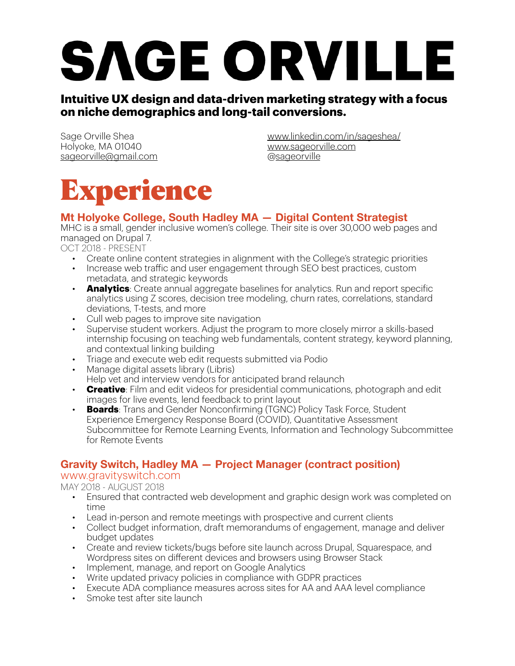# SAGE ORVILLE

#### **Intuitive UX design and data-driven marketing strategy with a focus on niche demographics and long-tail conversions.**

Sage Orville Shea Holyoke, MA 01040 [sageorville@gmail.com](mailto:sageorville@gmail.com) [www.linkedin.com/in/sageshea/](http://www.linkedin.com/in/sageshea/) [www.sageorville.com](http://www.sageorville.com) @[sageorville](http://www.instagram.com/sageorville)



#### **Mt Holyoke College, South Hadley MA — Digital Content Strategist**

MHC is a small, gender inclusive women's college. Their site is over 30,000 web pages and managed on Drupal 7.

OCT 2018 - PRESENT

- Create online content strategies in alignment with the College's strategic priorities
- Increase web trafic and user engagement through SEO best practices, custom metadata, and strategic keywords
- **Analytics**: Create annual aggregate baselines for analytics. Run and report specific analytics using Z scores, decision tree modeling, churn rates, correlations, standard deviations, T-tests, and more
- Cull web pages to improve site navigation
- Supervise student workers. Adjust the program to more closely mirror a skills-based internship focusing on teaching web fundamentals, content strategy, keyword planning, and contextual linking building
- Triage and execute web edit requests submitted via Podio
- Manage digital assets library (Libris) Help vet and interview vendors for anticipated brand relaunch
- **Creative**: Film and edit videos for presidential communications, photograph and edit images for live events, lend feedback to print layout
- **Boards**: Trans and Gender Nonconfirming (TGNC) Policy Task Force, Student Experience Emergency Response Board (COVID), Quantitative Assessment Subcommittee for Remote Learning Events, Information and Technology Subcommittee for Remote Events

#### **Gravity Switch, Hadley MA — Project Manager (contract position)**

#### [www.gravityswitch.com](http://www.gravityswitch.com/)

#### MAY 2018 - AUGUST 2018

- Ensured that contracted web development and graphic design work was completed on time
- Lead in-person and remote meetings with prospective and current clients
- Collect budget information, draft memorandums of engagement, manage and deliver budget updates
- Create and review tickets/bugs before site launch across Drupal, Squarespace, and Wordpress sites on different devices and browsers using Browser Stack
- Implement, manage, and report on Google Analytics
- Write updated privacy policies in compliance with GDPR practices
- Execute ADA compliance measures across sites for AA and AAA level compliance
- Smoke test after site launch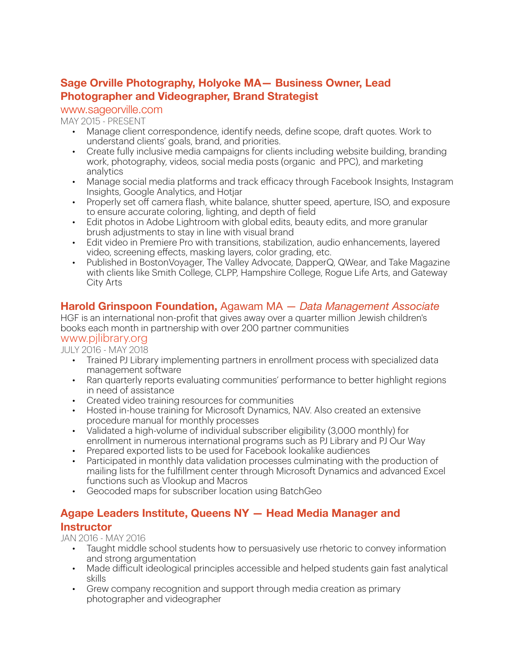#### **Sage Orville Photography, Holyoke MA— Business Owner, Lead Photographer and Videographer, Brand Strategist**

#### [www.sageorville.com](http://www.sageorville.com/)

#### MAY 2015 - PRESENT

- Manage client correspondence, identify needs, define scope, draft quotes. Work to understand clients' goals, brand, and priorities.
- Create fully inclusive media campaigns for clients including website building, branding work, photography, videos, social media posts (organic and PPC), and marketing analytics
- Manage social media platforms and track efficacy through Facebook Insights, Instagram Insights, Google Analytics, and Hotjar
- Properly set off camera flash, white balance, shutter speed, aperture, ISO, and exposure to ensure accurate coloring, lighting, and depth of field
- Edit photos in Adobe Lightroom with global edits, beauty edits, and more granular brush adjustments to stay in line with visual brand
- Edit video in Premiere Pro with transitions, stabilization, audio enhancements, layered video, screening effects, masking layers, color grading, etc.
- Published in BostonVoyager, The Valley Advocate, DapperQ, QWear, and Take Magazine with clients like Smith College, CLPP, Hampshire College, Rogue Life Arts, and Gateway City Arts

#### **Harold Grinspoon Foundation,** Agawam MA — *Data Management Associate*

HGF is an international non-profit that gives away over a quarter million Jewish children's books each month in partnership with over 200 partner communities

#### [www.pjlibrary.org](http://www.pjlibrary.org/)

JULY 2016 - MAY 2018

- Trained PJ Library implementing partners in enrollment process with specialized data management software
- Ran quarterly reports evaluating communities' performance to better highlight regions in need of assistance
- Created video training resources for communities
- Hosted in-house training for Microsoft Dynamics, NAV. Also created an extensive procedure manual for monthly processes
- Validated a high-volume of individual subscriber eligibility (3,000 monthly) for enrollment in numerous international programs such as PJ Library and PJ Our Way
- Prepared exported lists to be used for Facebook lookalike audiences
- Participated in monthly data validation processes culminating with the production of mailing lists for the fulfillment center through Microsoft Dynamics and advanced Excel functions such as Vlookup and Macros
- Geocoded maps for subscriber location using BatchGeo

#### **Agape Leaders Institute, Queens NY — Head Media Manager and Instructor**

JAN 2016 - MAY 2016

- Taught middle school students how to persuasively use rhetoric to convey information and strong argumentation
- Made dificult ideological principles accessible and helped students gain fast analytical skills
- Grew company recognition and support through media creation as primary photographer and videographer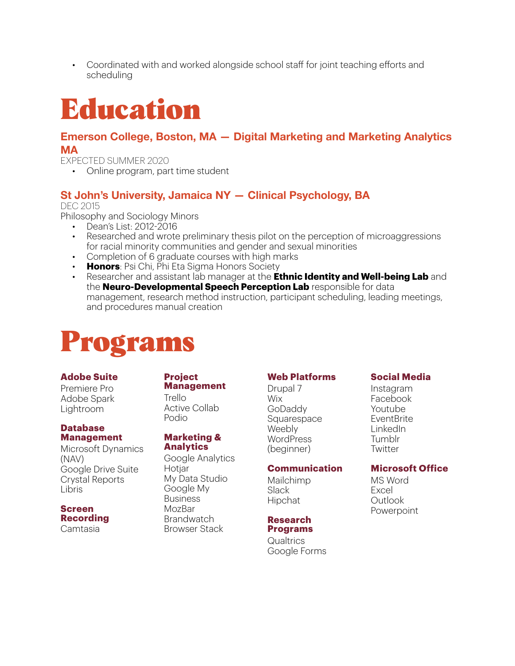• Coordinated with and worked alongside school staff for joint teaching efforts and scheduling

# Education

#### **Emerson College, Boston, MA — Digital Marketing and Marketing Analytics MA**

EXPECTED SUMMER 2020

• Online program, part time student

#### **St John's University, Jamaica NY — Clinical Psychology, BA**

DEC 2015

Philosophy and Sociology Minors

- Dean's List: 2012-2016
- Researched and wrote preliminary thesis pilot on the perception of microaggressions for racial minority communities and gender and sexual minorities
- Completion of 6 graduate courses with high marks
- **Honors**: Psi Chi, Phi Eta Sigma Honors Society
- Researcher and assistant lab manager at the **Ethnic Identity and Well-being Lab** and the **Neuro-Developmental Speech Perception Lab** responsible for data management, research method instruction, participant scheduling, leading meetings, and procedures manual creation

### Programs

#### **Adobe Suite**

Premiere Pro Adobe Spark Lightroom

#### **Database Management**

Microsoft Dynamics (NAV) Google Drive Suite Crystal Reports Libris

#### **Screen Recording**

Camtasia

#### **Project Management**

Trello Active Collab Podio

#### **Marketing & Analytics**

Google Analytics Hotiar My Data Studio Google My Business **MozBar** Brandwatch Browser Stack

#### **Web Platforms**

Drupal 7 **Wix** GoDaddy Squarespace Weebly WordPress (beginner)

#### **Communication**

Mailchimp Slack Hipchat

#### **Research**

**Programs** 

**Qualtrics** Google Forms

#### **Social Media**

**Instagram** Facebook Youtube EventBrite LinkedIn Tumblr **Twitter** 

#### **Microsoft Office**

MS Word Excel Outlook Powerpoint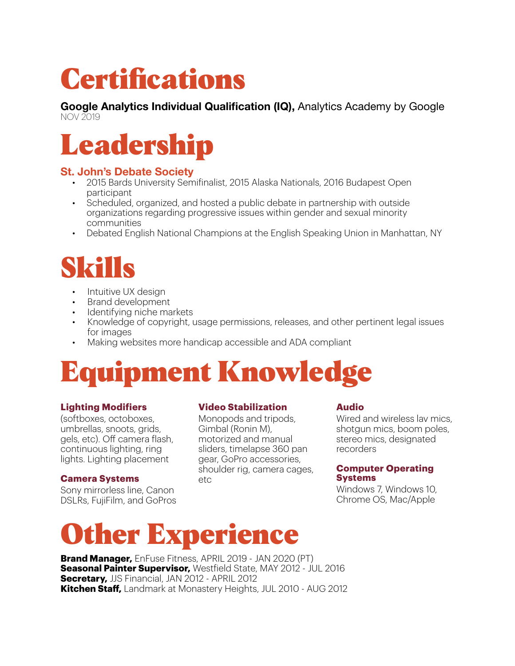# **Certifications**

**Google Analytics Individual Qualification (IQ),** Analytics Academy by Google NOV 2019



#### **St. John's Debate Society**

- 2015 Bards University Semifinalist, 2015 Alaska Nationals, 2016 Budapest Open participant
- Scheduled, organized, and hosted a public debate in partnership with outside organizations regarding progressive issues within gender and sexual minority communities
- Debated English National Champions at the English Speaking Union in Manhattan, NY

### Skills

- Intuitive UX design
- Brand development
- Identifying niche markets
- Knowledge of copyright, usage permissions, releases, and other pertinent legal issues for images
- Making websites more handicap accessible and ADA compliant

# Equipment Knowledge

#### **Lighting Modifiers**

(softboxes, octoboxes, umbrellas, snoots, grids, gels, etc). Off camera flash, continuous lighting, ring lights. Lighting placement

#### **Camera Systems**

Sony mirrorless line, Canon DSLRs, FujiFilm, and GoPros

#### **Video Stabilization**

Monopods and tripods, Gimbal (Ronin M), motorized and manual sliders, timelapse 360 pan gear, GoPro accessories, shoulder rig, camera cages, etc

#### **Audio**

Wired and wireless lay mics. shotgun mics, boom poles, stereo mics, designated recorders

#### **Computer Operating Systems**

Windows 7, Windows 10, Chrome OS, Mac/Apple

### **Other Experience**

**Brand Manager,** EnFuse Fitness, APRIL 2019 - JAN 2020 (PT) **Seasonal Painter Supervisor,** Westfield State, MAY 2012 - JUL 2016 **Secretary,** JJS Financial, JAN 2012 - APRIL 2012 **Kitchen Staff,** Landmark at Monastery Heights, JUL 2010 - AUG 2012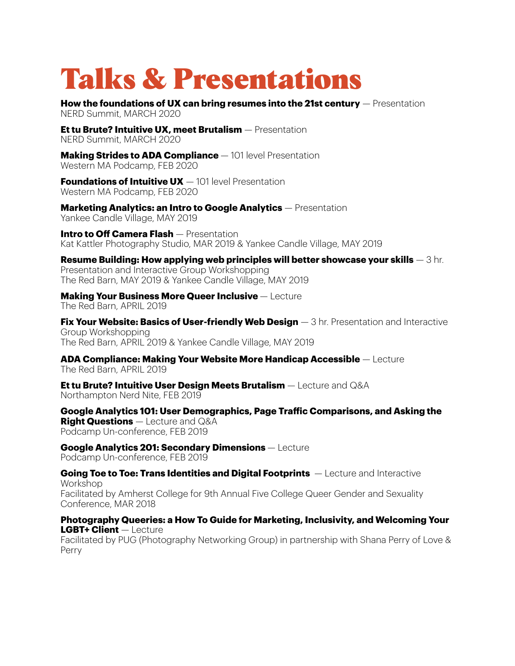### Talks & Presentations

**How the foundations of UX can bring resumes into the 21st century** — Presentation NERD Summit, MARCH 2020

**Et tu Brute? Intuitive UX, meet Brutalism** — Presentation NERD Summit, MARCH 2020

**Making Strides to ADA Compliance** — 101 level Presentation Western MA Podcamp, FEB 2020

**Foundations of Intuitive UX**  $-$  101 level Presentation Western MA Podcamp, FEB 2020

**Marketing Analytics: an Intro to Google Analytics** — Presentation Yankee Candle Village, MAY 2019

**Intro to Off Camera Flash** — Presentation Kat Kattler Photography Studio, MAR 2019 & Yankee Candle Village, MAY 2019

**Resume Building: How applying web principles will better showcase your skills** — 3 hr. Presentation and Interactive Group Workshopping The Red Barn, MAY 2019 & Yankee Candle Village, MAY 2019

**Making Your Business More Queer Inclusive** — Lecture The Red Barn, APRIL 2019

**Fix Your Website: Basics of User-friendly Web Design** — 3 hr. Presentation and Interactive Group Workshopping The Red Barn, APRIL 2019 & Yankee Candle Village, MAY 2019

**ADA Compliance: Making Your Website More Handicap Accessible** — Lecture The Red Barn, APRIL 2019

**Et tu Brute? Intuitive User Design Meets Brutalism** — Lecture and Q&A Northampton Nerd Nite, FEB 2019

**Google Analytics 101: User Demographics, Page Trafic Comparisons, and Asking the Right Questions** — Lecture and Q&A Podcamp Un-conference, FEB 2019

**Google Analytics 201: Secondary Dimensions** — Lecture Podcamp Un-conference, FEB 2019

**Going Toe to Toe: Trans Identities and Digital Footprints** — Lecture and Interactive Workshop Facilitated by Amherst College for 9th Annual Five College Queer Gender and Sexuality Conference, MAR 2018

**Photography Queeries: a How To Guide for Marketing, Inclusivity, and Welcoming Your LGBT+ Client** — Lecture

Facilitated by PUG (Photography Networking Group) in partnership with Shana Perry of Love & Perry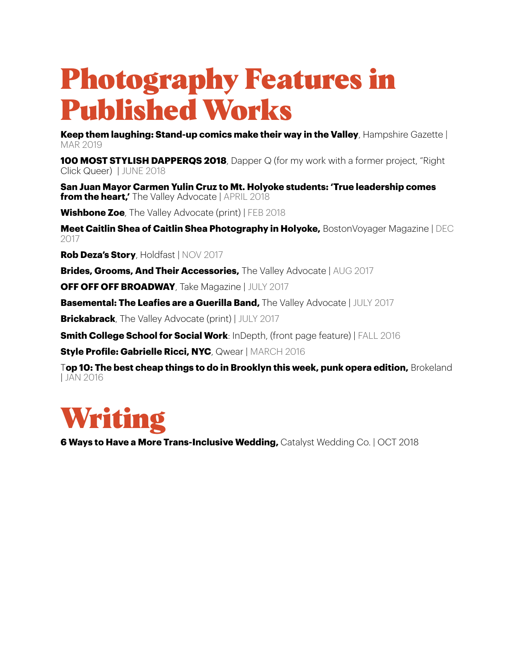# Photography Features in Published Works

**Keep them laughing: Stand-up comics make their way in the Valley**, Hampshire Gazette | MAR 2019

**100 MOST STYLISH DAPPERQS 2018**, Dapper Q (for my work with a former project, "Right Click Queer) | JUNE 2018

**San Juan Mayor Carmen Yulin Cruz to Mt. Holyoke students: 'True leadership comes from the heart,'** The Valley Advocate | APRIL 2018

**Wishbone Zoe**, The Valley Advocate (print) | FEB 2018

**Meet Caitlin Shea of Caitlin Shea Photography in Holyoke,** BostonVoyager Magazine | DEC 2017

**Rob Deza's Story**, Holdfast | NOV 2017

**Brides, Grooms, And Their Accessories,** The Valley Advocate | AUG 2017

**OFF OFF OFF BROADWAY**, Take Magazine | JULY 2017

**Basemental: The Leafies are a Guerilla Band,** The Valley Advocate | JULY 2017

**Brickabrack**, The Valley Advocate (print) | JULY 2017

**Smith College School for Social Work**: InDepth, (front page feature) | FALL 2016

**Style Profile: Gabrielle Ricci, NYC**, Qwear | MARCH 2016

T**op 10: The best cheap things to do in Brooklyn this week, punk opera edition,** Brokeland | JAN 2016



**6 Ways to Have a More Trans-Inclusive Wedding,** Catalyst Wedding Co. | OCT 2018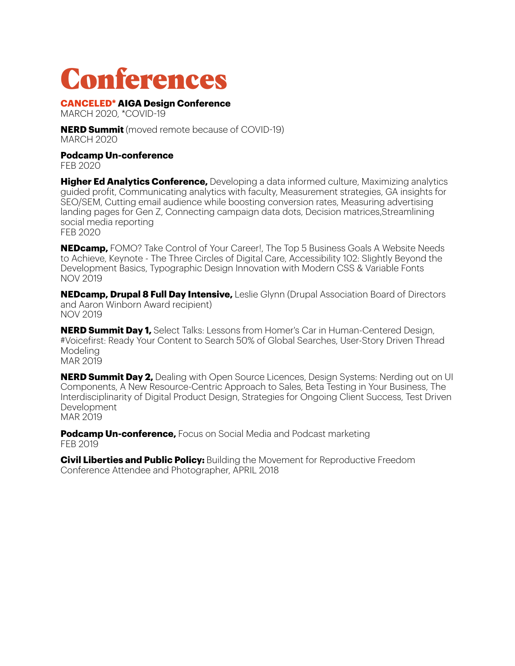### Conferences

**CANCELED\* AIGA Design Conference**

MARCH 2020, \*COVID-19

**NERD Summit** (moved remote because of COVID-19) MARCH 2020

**Podcamp Un-conference**

FEB 2020

**Higher Ed Analytics Conference,** Developing a data informed culture, Maximizing analytics guided profit, Communicating analytics with faculty, Measurement strategies, GA insights for SEO/SEM, Cutting email audience while boosting conversion rates, Measuring advertising landing pages for Gen Z, Connecting campaign data dots, Decision matrices,Streamlining social media reporting FEB 2020

**NEDcamp,** FOMO? Take Control of Your Career!, The Top 5 Business Goals A Website Needs to Achieve, Keynote - The Three Circles of Digital Care, Accessibility 102: Slightly Beyond the Development Basics, Typographic Design Innovation with Modern CSS & Variable Fonts NOV 2019

**NEDcamp, Drupal 8 Full Day Intensive,** Leslie Glynn (Drupal Association Board of Directors and Aaron Winborn Award recipient) NOV 2019

**NERD Summit Day 1,** Select Talks: Lessons from Homer's Car in Human-Centered Design, #Voicefirst: Ready Your Content to Search 50% of Global Searches, User-Story Driven Thread Modeling MAR 2019

**NERD Summit Day 2,** Dealing with Open Source Licences, Design Systems: Nerding out on UI Components, A New Resource-Centric Approach to Sales, Beta Testing in Your Business, The Interdisciplinarity of Digital Product Design, Strategies for Ongoing Client Success, Test Driven Development MAR 2019

**Podcamp Un-conference,** Focus on Social Media and Podcast marketing FEB 2019

**Civil Liberties and Public Policy:** Building the Movement for Reproductive Freedom Conference Attendee and Photographer, APRIL 2018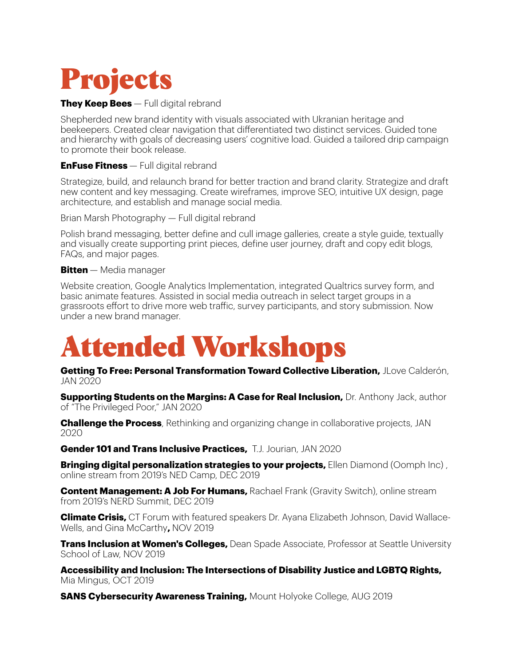

#### **They Keep Bees** — Full digital rebrand

Shepherded new brand identity with visuals associated with Ukranian heritage and beekeepers. Created clear navigation that differentiated two distinct services. Guided tone and hierarchy with goals of decreasing users' cognitive load. Guided a tailored drip campaign to promote their book release.

**EnFuse Fitness** — Full digital rebrand

Strategize, build, and relaunch brand for better traction and brand clarity. Strategize and draft new content and key messaging. Create wireframes, improve SEO, intuitive UX design, page architecture, and establish and manage social media.

Brian Marsh Photography — Full digital rebrand

Polish brand messaging, better define and cull image galleries, create a style guide, textually and visually create supporting print pieces, define user journey, draft and copy edit blogs, FAQs, and major pages.

#### **Bitten** — Media manager

Website creation, Google Analytics Implementation, integrated Qualtrics survey form, and basic animate features. Assisted in social media outreach in select target groups in a grassroots effort to drive more web trafic, survey participants, and story submission. Now under a new brand manager.

# Attended Workshops

**Getting To Free: Personal Transformation Toward Collective Liberation,** JLove Calderón, JAN 2020

**Supporting Students on the Margins: A Case for Real Inclusion,** Dr. Anthony Jack, author of "The Privileged Poor," JAN 2020

**Challenge the Process**, Rethinking and organizing change in collaborative projects, JAN 2020

**Gender 101 and Trans Inclusive Practices,** T.J. Jourian, JAN 2020

**Bringing digital personalization strategies to your projects,** Ellen Diamond (Oomph Inc) , online stream from 2019's NED Camp, DEC 2019

**Content Management: A Job For Humans, Rachael Frank (Gravity Switch), online stream** from 2019's NERD Summit, DEC 2019

**Climate Crisis,** CT Forum with featured speakers Dr. Ayana Elizabeth Johnson, David Wallace-Wells, and Gina McCarthy**,** NOV 2019

**Trans Inclusion at Women's Colleges,** Dean Spade Associate, Professor at Seattle University School of Law, NOV 2019

**Accessibility and Inclusion: The Intersections of Disability Justice and LGBTQ Rights,** Mia Mingus, OCT 2019

**SANS Cybersecurity Awareness Training,** Mount Holyoke College, AUG 2019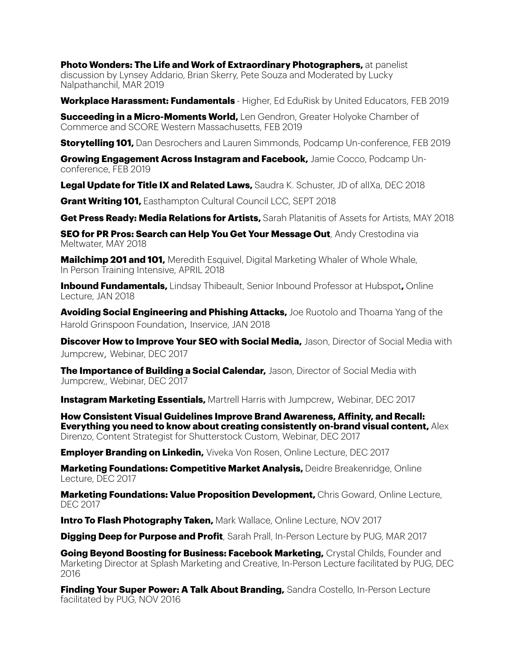**Photo Wonders: The Life and Work of Extraordinary Photographers,** at panelist discussion by Lynsey Addario, Brian Skerry, Pete Souza and Moderated by Lucky Nalpathanchil, MAR 2019

**Workplace Harassment: Fundamentals** - Higher, Ed EduRisk by United Educators, FEB 2019

**Succeeding in a Micro-Moments World,** Len Gendron, Greater Holyoke Chamber of Commerce and SCORE Western Massachusetts, FEB 2019

**Storytelling 101,** Dan Desrochers and Lauren Simmonds, Podcamp Un-conference, FEB 2019

**Growing Engagement Across Instagram and Facebook,** Jamie Cocco, Podcamp Unconference, FEB 2019

**Legal Update for Title IX and Related Laws,** Saudra K. Schuster, JD of alIXa, DEC 2018

**Grant Writing 101.** Easthampton Cultural Council LCC, SEPT 2018

**Get Press Ready: Media Relations for Artists,** Sarah Platanitis of Assets for Artists, MAY 2018

**SEO for PR Pros: Search can Help You Get Your Message Out**, Andy Crestodina via Meltwater, MAY 2018

**Mailchimp 201 and 101,** Meredith Esquivel, Digital Marketing Whaler of Whole Whale, In Person Training Intensive, APRIL 2018

**Inbound Fundamentals,** Lindsay Thibeault, Senior Inbound Professor at Hubspot**,** Online Lecture, JAN 2018

**Avoiding Social Engineering and Phishing Attacks,** Joe Ruotolo and Thoama Yang of the Harold Grinspoon Foundation, Inservice, JAN 2018

**Discover How to Improve Your SEO with Social Media,** Jason, Director of Social Media with Jumpcrew, Webinar, DEC 2017

**The Importance of Building a Social Calendar,** Jason, Director of Social Media with Jumpcrew,, Webinar, DEC 2017

**Instagram Marketing Essentials,** Martrell Harris with Jumpcrew, Webinar, DEC 2017

**How Consistent Visual Guidelines Improve Brand Awareness, Afinity, and Recall: Everything you need to know about creating consistently on-brand visual content,** Alex Direnzo, Content Strategist for Shutterstock Custom, Webinar, DEC 2017

**Employer Branding on Linkedin,** Viveka Von Rosen, Online Lecture, DEC 2017

**Marketing Foundations: Competitive Market Analysis,** Deidre Breakenridge, Online Lecture, DEC 2017

**Marketing Foundations: Value Proposition Development,** Chris Goward, Online Lecture, DEC 2017

**Intro To Flash Photography Taken, Mark Wallace, Online Lecture, NOV 2017** 

**Digging Deep for Purpose and Profit**, Sarah Prall, In-Person Lecture by PUG, MAR 2017

**Going Beyond Boosting for Business: Facebook Marketing,** Crystal Childs, Founder and Marketing Director at Splash Marketing and Creative, In-Person Lecture facilitated by PUG, DEC 2016

**Finding Your Super Power: A Talk About Branding,** Sandra Costello, In-Person Lecture facilitated by PUG, NOV 2016